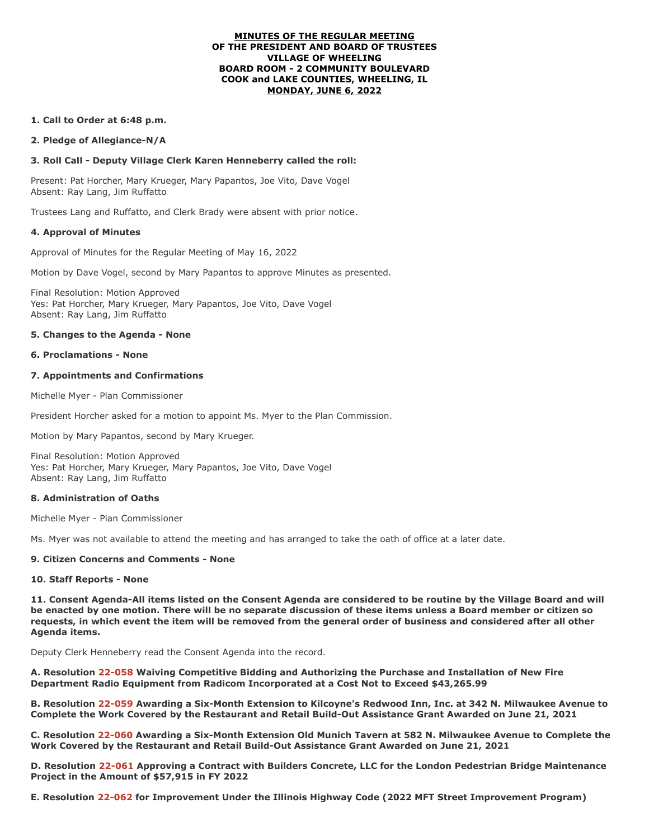#### **MINUTES OF THE REGULAR MEETING OF THE PRESIDENT AND BOARD OF TRUSTEES VILLAGE OF WHEELING BOARD ROOM - 2 COMMUNITY BOULEVARD COOK and LAKE COUNTIES, WHEELING, IL MONDAY, JUNE 6, 2022**

## **1. Call to Order at 6:48 p.m.**

**2. Pledge of Allegiance-N/A**

### **3. Roll Call - Deputy Village Clerk Karen Henneberry called the roll:**

Present: Pat Horcher, Mary Krueger, Mary Papantos, Joe Vito, Dave Vogel Absent: Ray Lang, Jim Ruffatto

Trustees Lang and Ruffatto, and Clerk Brady were absent with prior notice.

### **4. Approval of Minutes**

Approval of Minutes for the Regular Meeting of May 16, 2022

Motion by Dave Vogel, second by Mary Papantos to approve Minutes as presented.

Final Resolution: Motion Approved Yes: Pat Horcher, Mary Krueger, Mary Papantos, Joe Vito, Dave Vogel Absent: Ray Lang, Jim Ruffatto

### **5. Changes to the Agenda - None**

#### **6. Proclamations - None**

### **7. Appointments and Confirmations**

Michelle Myer - Plan Commissioner

President Horcher asked for a motion to appoint Ms. Myer to the Plan Commission.

Motion by Mary Papantos, second by Mary Krueger.

Final Resolution: Motion Approved Yes: Pat Horcher, Mary Krueger, Mary Papantos, Joe Vito, Dave Vogel Absent: Ray Lang, Jim Ruffatto

# **8. Administration of Oaths**

Michelle Myer - Plan Commissioner

Ms. Myer was not available to attend the meeting and has arranged to take the oath of office at a later date.

# **9. Citizen Concerns and Comments - None**

#### **10. Staff Reports - None**

**11. Consent Agenda-All items listed on the Consent Agenda are considered to be routine by the Village Board and will be enacted by one motion. There will be no separate discussion of these items unless a Board member or citizen so requests, in which event the item will be removed from the general order of business and considered after all other Agenda items.**

Deputy Clerk Henneberry read the Consent Agenda into the record.

**A. Resolution 22-058 Waiving Competitive Bidding and Authorizing the Purchase and Installation of New Fire Department Radio Equipment from Radicom Incorporated at a Cost Not to Exceed \$43,265.99**

**B. Resolution 22-059 Awarding a Six-Month Extension to Kilcoyne's Redwood Inn, Inc. at 342 N. Milwaukee Avenue to Complete the Work Covered by the Restaurant and Retail Build-Out Assistance Grant Awarded on June 21, 2021**

**C. Resolution 22-060 Awarding a Six-Month Extension Old Munich Tavern at 582 N. Milwaukee Avenue to Complete the Work Covered by the Restaurant and Retail Build-Out Assistance Grant Awarded on June 21, 2021**

**D. Resolution 22-061 Approving a Contract with Builders Concrete, LLC for the London Pedestrian Bridge Maintenance Project in the Amount of \$57,915 in FY 2022**

**E. Resolution 22-062 for Improvement Under the Illinois Highway Code (2022 MFT Street Improvement Program)**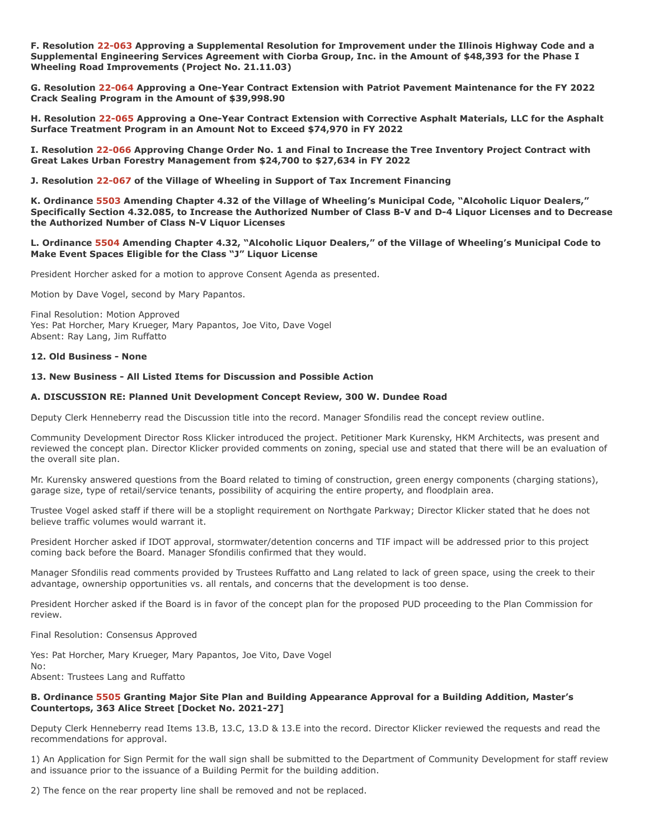**F. Resolution 22-063 Approving a Supplemental Resolution for Improvement under the Illinois Highway Code and a Supplemental Engineering Services Agreement with Ciorba Group, Inc. in the Amount of \$48,393 for the Phase I Wheeling Road Improvements (Project No. 21.11.03)**

**G. Resolution 22-064 Approving a One-Year Contract Extension with Patriot Pavement Maintenance for the FY 2022 Crack Sealing Program in the Amount of \$39,998.90**

**H. Resolution 22-065 Approving a One-Year Contract Extension with Corrective Asphalt Materials, LLC for the Asphalt Surface Treatment Program in an Amount Not to Exceed \$74,970 in FY 2022**

**I. Resolution 22-066 Approving Change Order No. 1 and Final to Increase the Tree Inventory Project Contract with Great Lakes Urban Forestry Management from \$24,700 to \$27,634 in FY 2022**

**J. Resolution 22-067 of the Village of Wheeling in Support of Tax Increment Financing**

**K. Ordinance 5503 Amending Chapter 4.32 of the Village of Wheeling's Municipal Code, "Alcoholic Liquor Dealers," Specifically Section 4.32.085, to Increase the Authorized Number of Class B-V and D-4 Liquor Licenses and to Decrease the Authorized Number of Class N-V Liquor Licenses**

**L. Ordinance 5504 Amending Chapter 4.32, "Alcoholic Liquor Dealers," of the Village of Wheeling's Municipal Code to Make Event Spaces Eligible for the Class "J" Liquor License**

President Horcher asked for a motion to approve Consent Agenda as presented.

Motion by Dave Vogel, second by Mary Papantos.

Final Resolution: Motion Approved Yes: Pat Horcher, Mary Krueger, Mary Papantos, Joe Vito, Dave Vogel Absent: Ray Lang, Jim Ruffatto

#### **12. Old Business - None**

### **13. New Business - All Listed Items for Discussion and Possible Action**

#### **A. DISCUSSION RE: Planned Unit Development Concept Review, 300 W. Dundee Road**

Deputy Clerk Henneberry read the Discussion title into the record. Manager Sfondilis read the concept review outline.

Community Development Director Ross Klicker introduced the project. Petitioner Mark Kurensky, HKM Architects, was present and reviewed the concept plan. Director Klicker provided comments on zoning, special use and stated that there will be an evaluation of the overall site plan.

Mr. Kurensky answered questions from the Board related to timing of construction, green energy components (charging stations), garage size, type of retail/service tenants, possibility of acquiring the entire property, and floodplain area.

Trustee Vogel asked staff if there will be a stoplight requirement on Northgate Parkway; Director Klicker stated that he does not believe traffic volumes would warrant it.

President Horcher asked if IDOT approval, stormwater/detention concerns and TIF impact will be addressed prior to this project coming back before the Board. Manager Sfondilis confirmed that they would.

Manager Sfondilis read comments provided by Trustees Ruffatto and Lang related to lack of green space, using the creek to their advantage, ownership opportunities vs. all rentals, and concerns that the development is too dense.

President Horcher asked if the Board is in favor of the concept plan for the proposed PUD proceeding to the Plan Commission for review.

Final Resolution: Consensus Approved

Yes: Pat Horcher, Mary Krueger, Mary Papantos, Joe Vito, Dave Vogel No:

Absent: Trustees Lang and Ruffatto

### **B. Ordinance 5505 Granting Major Site Plan and Building Appearance Approval for a Building Addition, Master's Countertops, 363 Alice Street [Docket No. 2021-27]**

Deputy Clerk Henneberry read Items 13.B, 13.C, 13.D & 13.E into the record. Director Klicker reviewed the requests and read the recommendations for approval.

1) An Application for Sign Permit for the wall sign shall be submitted to the Department of Community Development for staff review and issuance prior to the issuance of a Building Permit for the building addition.

2) The fence on the rear property line shall be removed and not be replaced.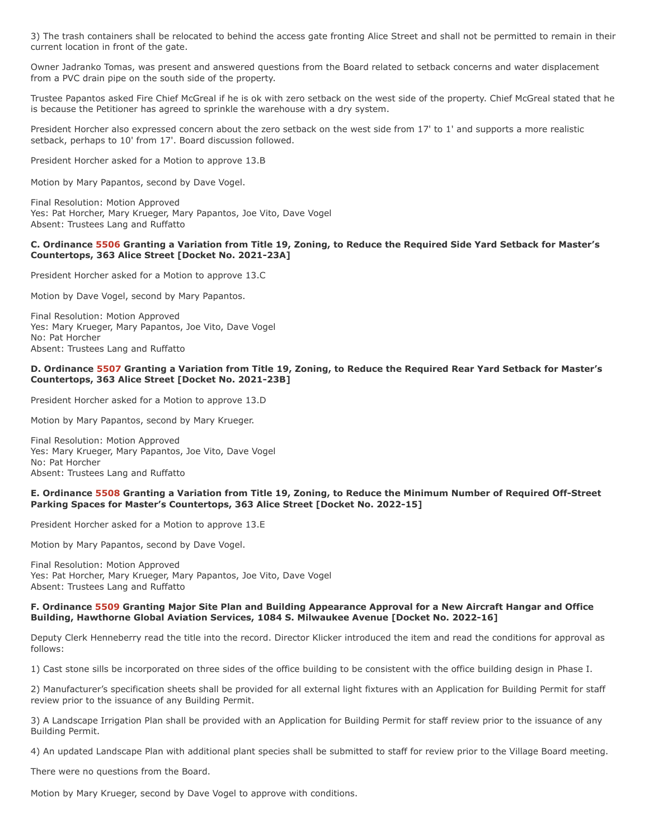3) The trash containers shall be relocated to behind the access gate fronting Alice Street and shall not be permitted to remain in their current location in front of the gate.

Owner Jadranko Tomas, was present and answered questions from the Board related to setback concerns and water displacement from a PVC drain pipe on the south side of the property.

Trustee Papantos asked Fire Chief McGreal if he is ok with zero setback on the west side of the property. Chief McGreal stated that he is because the Petitioner has agreed to sprinkle the warehouse with a dry system.

President Horcher also expressed concern about the zero setback on the west side from 17' to 1' and supports a more realistic setback, perhaps to 10' from 17'. Board discussion followed.

President Horcher asked for a Motion to approve 13.B

Motion by Mary Papantos, second by Dave Vogel.

Final Resolution: Motion Approved Yes: Pat Horcher, Mary Krueger, Mary Papantos, Joe Vito, Dave Vogel Absent: Trustees Lang and Ruffatto

### **C. Ordinance 5506 Granting a Variation from Title 19, Zoning, to Reduce the Required Side Yard Setback for Master's Countertops, 363 Alice Street [Docket No. 2021-23A]**

President Horcher asked for a Motion to approve 13.C

Motion by Dave Vogel, second by Mary Papantos.

Final Resolution: Motion Approved Yes: Mary Krueger, Mary Papantos, Joe Vito, Dave Vogel No: Pat Horcher Absent: Trustees Lang and Ruffatto

#### **D. Ordinance 5507 Granting a Variation from Title 19, Zoning, to Reduce the Required Rear Yard Setback for Master's Countertops, 363 Alice Street [Docket No. 2021-23B]**

President Horcher asked for a Motion to approve 13.D

Motion by Mary Papantos, second by Mary Krueger.

Final Resolution: Motion Approved Yes: Mary Krueger, Mary Papantos, Joe Vito, Dave Vogel No: Pat Horcher Absent: Trustees Lang and Ruffatto

### **E. Ordinance 5508 Granting a Variation from Title 19, Zoning, to Reduce the Minimum Number of Required Off-Street Parking Spaces for Master's Countertops, 363 Alice Street [Docket No. 2022-15]**

President Horcher asked for a Motion to approve 13.E

Motion by Mary Papantos, second by Dave Vogel.

Final Resolution: Motion Approved Yes: Pat Horcher, Mary Krueger, Mary Papantos, Joe Vito, Dave Vogel Absent: Trustees Lang and Ruffatto

### **F. Ordinance 5509 Granting Major Site Plan and Building Appearance Approval for a New Aircraft Hangar and Office Building, Hawthorne Global Aviation Services, 1084 S. Milwaukee Avenue [Docket No. 2022-16]**

Deputy Clerk Henneberry read the title into the record. Director Klicker introduced the item and read the conditions for approval as follows:

1) Cast stone sills be incorporated on three sides of the office building to be consistent with the office building design in Phase I.

2) Manufacturer's specification sheets shall be provided for all external light fixtures with an Application for Building Permit for staff review prior to the issuance of any Building Permit.

3) A Landscape Irrigation Plan shall be provided with an Application for Building Permit for staff review prior to the issuance of any Building Permit.

4) An updated Landscape Plan with additional plant species shall be submitted to staff for review prior to the Village Board meeting.

There were no questions from the Board.

Motion by Mary Krueger, second by Dave Vogel to approve with conditions.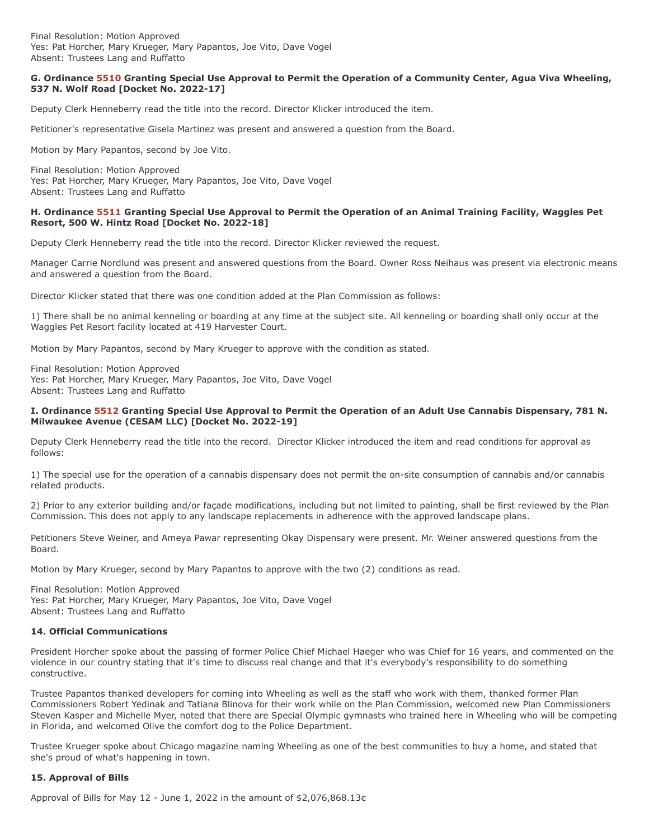## **G. Ordinance 5510 Granting Special Use Approval to Permit the Operation of a Community Center, Agua Viva Wheeling, 537 N. Wolf Road [Docket No. 2022-17]**

Deputy Clerk Henneberry read the title into the record. Director Klicker introduced the item.

Petitioner's representative Gisela Martinez was present and answered a question from the Board.

Motion by Mary Papantos, second by Joe Vito.

Final Resolution: Motion Approved Yes: Pat Horcher, Mary Krueger, Mary Papantos, Joe Vito, Dave Vogel Absent: Trustees Lang and Ruffatto

# **H. Ordinance 5511 Granting Special Use Approval to Permit the Operation of an Animal Training Facility, Waggles Pet Resort, 500 W. Hintz Road [Docket No. 2022-18]**

Deputy Clerk Henneberry read the title into the record. Director Klicker reviewed the request.

Manager Carrie Nordlund was present and answered questions from the Board. Owner Ross Neihaus was present via electronic means and answered a question from the Board.

Director Klicker stated that there was one condition added at the Plan Commission as follows:

1) There shall be no animal kenneling or boarding at any time at the subject site. All kenneling or boarding shall only occur at the Waggles Pet Resort facility located at 419 Harvester Court.

Motion by Mary Papantos, second by Mary Krueger to approve with the condition as stated.

Final Resolution: Motion Approved Yes: Pat Horcher, Mary Krueger, Mary Papantos, Joe Vito, Dave Vogel Absent: Trustees Lang and Ruffatto

# **I. Ordinance 5512 Granting Special Use Approval to Permit the Operation of an Adult Use Cannabis Dispensary, 781 N. Milwaukee Avenue (CESAM LLC) [Docket No. 2022-19]**

Deputy Clerk Henneberry read the title into the record. Director Klicker introduced the item and read conditions for approval as follows:

1) The special use for the operation of a cannabis dispensary does not permit the on-site consumption of cannabis and/or cannabis related products.

2) Prior to any exterior building and/or façade modifications, including but not limited to painting, shall be first reviewed by the Plan Commission. This does not apply to any landscape replacements in adherence with the approved landscape plans.

Petitioners Steve Weiner, and Ameya Pawar representing Okay Dispensary were present. Mr. Weiner answered questions from the Board.

Motion by Mary Krueger, second by Mary Papantos to approve with the two (2) conditions as read.

Final Resolution: Motion Approved Yes: Pat Horcher, Mary Krueger, Mary Papantos, Joe Vito, Dave Vogel Absent: Trustees Lang and Ruffatto

# **14. Official Communications**

President Horcher spoke about the passing of former Police Chief Michael Haeger who was Chief for 16 years, and commented on the violence in our country stating that it's time to discuss real change and that it's everybody's responsibility to do something constructive.

Trustee Papantos thanked developers for coming into Wheeling as well as the staff who work with them, thanked former Plan Commissioners Robert Yedinak and Tatiana Blinova for their work while on the Plan Commission, welcomed new Plan Commissioners Steven Kasper and Michelle Myer, noted that there are Special Olympic gymnasts who trained here in Wheeling who will be competing in Florida, and welcomed Olive the comfort dog to the Police Department.

Trustee Krueger spoke about Chicago magazine naming Wheeling as one of the best communities to buy a home, and stated that she's proud of what's happening in town.

# **15. Approval of Bills**

Approval of Bills for May 12 - June 1, 2022 in the amount of \$2,076,868.13¢